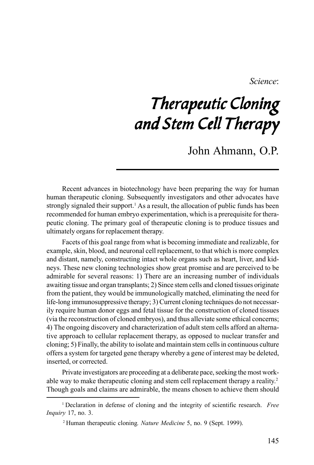*Science*:

## Therapeutic Cloning and Stem Cell Therapy

John Ahmann, O.P.

Recent advances in biotechnology have been preparing the way for human human therapeutic cloning. Subsequently investigators and other advocates have strongly signaled their support.<sup>1</sup> As a result, the allocation of public funds has been recommended for human embryo experimentation, which is a prerequisite for therapeutic cloning. The primary goal of therapeutic cloning is to produce tissues and ultimately organs for replacement therapy.

Facets of this goal range from what is becoming immediate and realizable, for example, skin, blood, and neuronal cell replacement, to that which is more complex and distant, namely, constructing intact whole organs such as heart, liver, and kidneys. These new cloning technologies show great promise and are perceived to be admirable for several reasons: 1) There are an increasing number of individuals awaiting tissue and organ transplants; 2) Since stem cells and cloned tissues originate from the patient, they would be immunologically matched, eliminating the need for life-long immunosuppressive therapy; 3) Current cloning techniques do not necessarily require human donor eggs and fetal tissue for the construction of cloned tissues (via the reconstruction of cloned embryos), and thus alleviate some ethical concerns; 4) The ongoing discovery and characterization of adult stem cells afford an alternative approach to cellular replacement therapy, as opposed to nuclear transfer and cloning; 5) Finally, the ability to isolate and maintain stem cells in continuous culture offers a system for targeted gene therapy whereby a gene of interest may be deleted, inserted, or corrected.

Private investigators are proceeding at a deliberate pace, seeking the most workable way to make therapeutic cloning and stem cell replacement therapy a reality.<sup>2</sup> Though goals and claims are admirable, the means chosen to achieve them should

<sup>1</sup> Declaration in defense of cloning and the integrity of scientific research. *Free Inquiry* 17, no. 3.

<sup>2</sup> Human therapeutic cloning*. Nature Medicine* 5, no. 9 (Sept. 1999).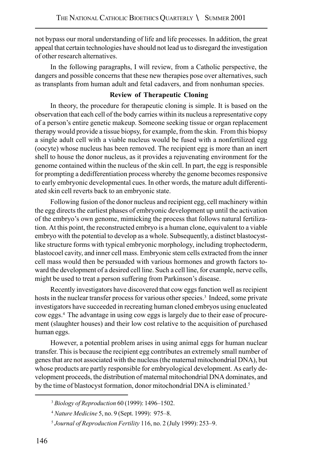not bypass our moral understanding of life and life processes. In addition, the great appeal that certain technologies have should not lead us to disregard the investigation of other research alternatives.

In the following paragraphs, I will review, from a Catholic perspective, the dangers and possible concerns that these new therapies pose over alternatives, such as transplants from human adult and fetal cadavers, and from nonhuman species.

## **Review of Therapeutic Cloning**

In theory, the procedure for therapeutic cloning is simple. It is based on the observation that each cell of the body carries within its nucleus a representative copy of a person's entire genetic makeup. Someone seeking tissue or organ replacement therapy would provide a tissue biopsy, for example, from the skin. From this biopsy a single adult cell with a viable nucleus would be fused with a nonfertilized egg (oocyte) whose nucleus has been removed. The recipient egg is more than an inert shell to house the donor nucleus, as it provides a rejuvenating environment for the genome contained within the nucleus of the skin cell. In part, the egg is responsible for prompting a dedifferentiation process whereby the genome becomes responsive to early embryonic developmental cues. In other words, the mature adult differentiated skin cell reverts back to an embryonic state.

Following fusion of the donor nucleus and recipient egg, cell machinery within the egg directs the earliest phases of embryonic development up until the activation of the embryo's own genome, mimicking the process that follows natural fertilization. At this point, the reconstructed embryo is a human clone, equivalent to a viable embryo with the potential to develop as a whole. Subsequently, a distinct blastocystlike structure forms with typical embryonic morphology, including trophectoderm, blastocoel cavity, and inner cell mass. Embryonic stem cells extracted from the inner cell mass would then be persuaded with various hormones and growth factors toward the development of a desired cell line. Such a cell line, for example, nerve cells, might be used to treat a person suffering from Parkinson's disease.

Recently investigators have discovered that cow eggs function well as recipient hosts in the nuclear transfer process for various other species.<sup>3</sup> Indeed, some private investigators have succeeded in recreating human cloned embryos using enucleated cow eggs.4 The advantage in using cow eggs is largely due to their ease of procurement (slaughter houses) and their low cost relative to the acquisition of purchased human eggs.

However, a potential problem arises in using animal eggs for human nuclear transfer. This is because the recipient egg contributes an extremely small number of genes that are not associated with the nucleus (the maternal mitochondrial DNA), but whose products are partly responsible for embryological development. As early development proceeds, the distribution of maternal mitochondrial DNA dominates, and by the time of blastocyst formation, donor mitochondrial DNA is eliminated.<sup>5</sup>

<sup>3</sup> *Biology of Reproduction* 60 (1999): 1496–1502.

<sup>4</sup> *Nature Medicine* 5, no. 9 (Sept. 1999): 975–8.

<sup>5</sup> *Journal of Reproduction Fertility* 116, no. 2 (July 1999): 253–9.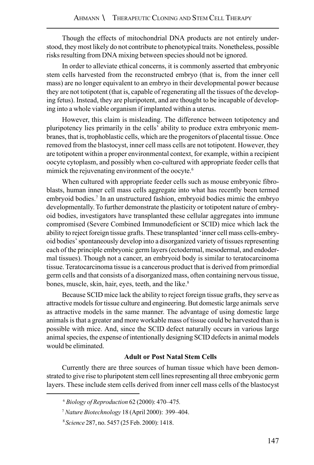Though the effects of mitochondrial DNA products are not entirely understood, they most likely do not contribute to phenotypical traits. Nonetheless, possible risks resulting from DNA mixing between species should not be ignored.

In order to alleviate ethical concerns, it is commonly asserted that embryonic stem cells harvested from the reconstructed embryo (that is, from the inner cell mass) are no longer equivalent to an embryo in their developmental power because they are not totipotent (that is, capable of regenerating all the tissues of the developing fetus). Instead, they are pluripotent, and are thought to be incapable of developing into a whole viable organism if implanted within a uterus.

However, this claim is misleading. The difference between totipotency and pluripotency lies primarily in the cells' ability to produce extra embryonic membranes, that is, trophoblastic cells, which are the progenitors of placental tissue. Once removed from the blastocyst, inner cell mass cells are not totipotent. However, they are totipotent within a proper environmental context, for example, within a recipient oocyte cytoplasm, and possibly when co-cultured with appropriate feeder cells that mimick the rejuvenating environment of the oocyte.<sup>6</sup>

When cultured with appropriate feeder cells such as mouse embryonic fibroblasts, human inner cell mass cells aggregate into what has recently been termed embryoid bodies.7 In an unstructured fashion, embryoid bodies mimic the embryo developmentally. To further demonstrate the plasticity or totipotent nature of embryoid bodies, investigators have transplanted these cellular aggregates into immune compromised (Severe Combined Immunodeficient or SCID) mice which lack the ability to reject foreign tissue grafts. These transplanted 'inner cell mass cells-embryoid bodies' spontaneously develop into a disorganized variety of tissues representing each of the principle embryonic germ layers (ectodermal, mesodermal, and endodermal tissues). Though not a cancer, an embryoid body is similar to teratocarcinoma tissue. Teratocarcinoma tissue is a cancerous product that is derived from primordial germ cells and that consists of a disorganized mass, often containing nervous tissue, bones, muscle, skin, hair, eyes, teeth, and the like.<sup>8</sup>

Because SCID mice lack the ability to reject foreign tissue grafts, they serve as attractive models for tissue culture and engineering. But domestic large animals serve as attractive models in the same manner. The advantage of using domestic large animals is that a greater and more workable mass of tissue could be harvested than is possible with mice. And, since the SCID defect naturally occurs in various large animal species, the expense of intentionally designing SCID defects in animal models would be eliminated.

## **Adult or Post Natal Stem Cells**

Currently there are three sources of human tissue which have been demonstrated to give rise to pluripotent stem cell lines representing all three embryonic germ layers. These include stem cells derived from inner cell mass cells of the blastocyst

<sup>6</sup> *Biology of Reproduction* 62 (2000): 470–475*.*

<sup>7</sup> *Nature Biotechnology* 18 (April 2000): 399–404.

 <sup>8</sup> *Science* 287, no. 5457 (25 Feb. 2000): 1418.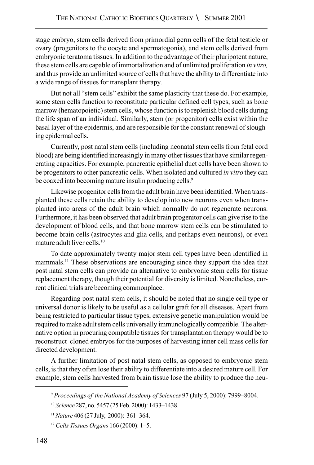stage embryo, stem cells derived from primordial germ cells of the fetal testicle or ovary (progenitors to the oocyte and spermatogonia), and stem cells derived from embryonic teratoma tissues. In addition to the advantage of their pluripotent nature, these stem cells are capable of immortalization and of unlimited proliferation *in vitro,* and thus provide an unlimited source of cells that have the ability to differentiate into a wide range of tissues for transplant therapy.

But not all "stem cells" exhibit the same plasticity that these do. For example, some stem cells function to reconstitute particular defined cell types, such as bone marrow (hematopoietic) stem cells, whose function is to replenish blood cells during the life span of an individual. Similarly, stem (or progenitor) cells exist within the basal layer of the epidermis, and are responsible for the constant renewal of sloughing epidermal cells.

Currently, post natal stem cells (including neonatal stem cells from fetal cord blood) are being identified increasingly in many other tissues that have similar regenerating capacities. For example, pancreatic epithelial duct cells have been shown to be progenitors to other pancreatic cells. When isolated and cultured *in vitro* they can be coaxed into becoming mature insulin producing cells.<sup>9</sup>

Likewise progenitor cells from the adult brain have been identified. When transplanted these cells retain the ability to develop into new neurons even when transplanted into areas of the adult brain which normally do not regenerate neurons. Furthermore, it has been observed that adult brain progenitor cells can give rise to the development of blood cells, and that bone marrow stem cells can be stimulated to become brain cells (astrocytes and glia cells, and perhaps even neurons), or even mature adult liver cells.10

To date approximately twenty major stem cell types have been identified in mammals.11 These observations are encouraging since they support the idea that post natal stem cells can provide an alternative to embryonic stem cells for tissue replacement therapy, though their potential for diversity is limited. Nonetheless, current clinical trials are becoming commonplace.

Regarding post natal stem cells, it should be noted that no single cell type or universal donor is likely to be useful as a cellular graft for all diseases. Apart from being restricted to particular tissue types, extensive genetic manipulation would be required to make adult stem cells universally immunologically compatible. The alternative option in procuring compatible tissues for transplantation therapy would be to reconstruct cloned embryos for the purposes of harvesting inner cell mass cells for directed development.

A further limitation of post natal stem cells, as opposed to embryonic stem cells, is that they often lose their ability to differentiate into a desired mature cell. For example, stem cells harvested from brain tissue lose the ability to produce the neu-

<sup>9</sup> *Proceedings of the National Academy of Sciences* 97 (July 5, 2000): 7999–8004.

<sup>10</sup> *Science* 287, no. 5457 (25 Feb. 2000): 1433–1438.

<sup>11</sup>*Nature* 406 (27 July, 2000): 361–364.

<sup>12</sup> *Cells Tissues Organs* 166 (2000): 1–5.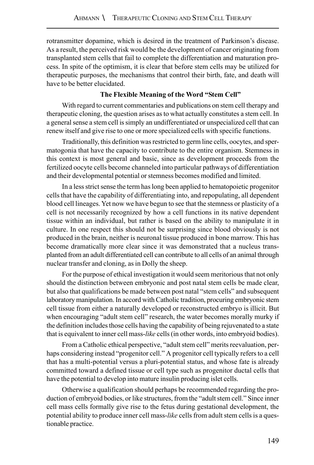rotransmitter dopamine, which is desired in the treatment of Parkinson's disease. As a result, the perceived risk would be the development of cancer originating from transplanted stem cells that fail to complete the differentiation and maturation process. In spite of the optimism, it is clear that before stem cells may be utilized for therapeutic purposes, the mechanisms that control their birth, fate, and death will have to be better elucidated.

## **The Flexible Meaning of the Word "Stem Cell"**

With regard to current commentaries and publications on stem cell therapy and therapeutic cloning, the question arises as to what actually constitutes a stem cell. In a general sense a stem cell is simply an undifferentiated or unspecialized cell that can renew itself and give rise to one or more specialized cells with specific functions.

Traditionally, this definition was restricted to germ line cells, oocytes, and spermatogonia that have the capacity to contribute to the entire organism. Stemness in this context is most general and basic, since as development proceeds from the fertilized oocyte cells become channeled into particular pathways of differentiation and their developmental potential or stemness becomes modified and limited.

In a less strict sense the term has long been applied to hematopoietic progenitor cells that have the capability of differentiating into, and repopulating, all dependent blood cell lineages. Yet now we have begun to see that the stemness or plasticity of a cell is not necessarily recognized by how a cell functions in its native dependent tissue within an individual, but rather is based on the ability to manipulate it in culture. In one respect this should not be surprising since blood obviously is not produced in the brain, neither is neuronal tissue produced in bone marrow. This has become dramatically more clear since it was demonstrated that a nucleus transplanted from an adult differentiated cell can contribute to all cells of an animal through nuclear transfer and cloning, as in Dolly the sheep.

For the purpose of ethical investigation it would seem meritorious that not only should the distinction between embryonic and post natal stem cells be made clear, but also that qualifications be made between post natal "stem cells" and subsequent laboratory manipulation. In accord with Catholic tradition, procuring embryonic stem cell tissue from either a naturally developed or reconstructed embryo is illicit. But when encouraging "adult stem cell" research, the water becomes morally murky if the definition includes those cells having the capability of being rejuvenated to a state that is equivalent to inner cell mass-*like* cells (in other words, into embryoid bodies).

From a Catholic ethical perspective, "adult stem cell" merits reevaluation, perhaps considering instead "progenitor cell." A progenitor cell typically refers to a cell that has a multi-potential versus a pluri-potential status, and whose fate is already committed toward a defined tissue or cell type such as progenitor ductal cells that have the potential to develop into mature insulin producing islet cells.

Otherwise a qualification should perhaps be recommended regarding the production of embryoid bodies, or like structures, from the "adult stem cell." Since inner cell mass cells formally give rise to the fetus during gestational development, the potential ability to produce inner cell mass-*like* cells from adult stem cells is a questionable practice.